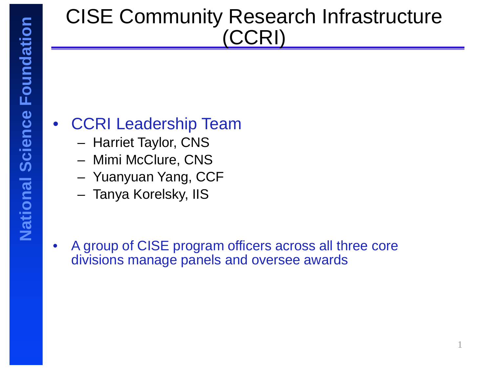## CISE Community Research Infrastructure (CCRI)

### • CCRI Leadership Team

- Harriet Taylor, CNS
- Mimi McClure, CNS
- Yuanyuan Yang, CCF
- Tanya Korelsky, IIS
- A group of CISE program officers across all three core divisions manage panels and oversee awards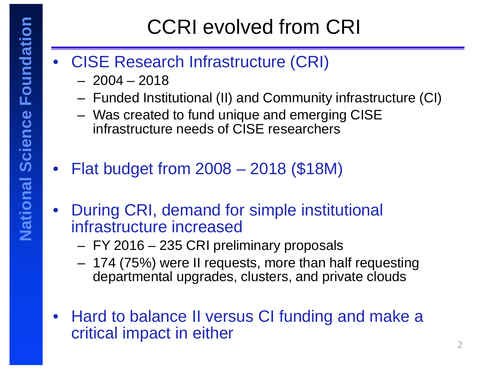# CCRI evolved from CRI

### • CISE Research Infrastructure (CRI)

- $-2004 2018$
- Funded Institutional (II) and Community infrastructure (CI)
- Was created to fund unique and emerging CISE infrastructure needs of CISE researchers
- Flat budget from 2008 2018 (\$18M)
- During CRI, demand for simple institutional infrastructure increased
	- FY 2016 235 CRI preliminary proposals
	- 174 (75%) were II requests, more than half requesting departmental upgrades, clusters, and private clouds
- Hard to balance II versus CI funding and make a critical impact in either  $2 \left( \frac{1}{2} \right)$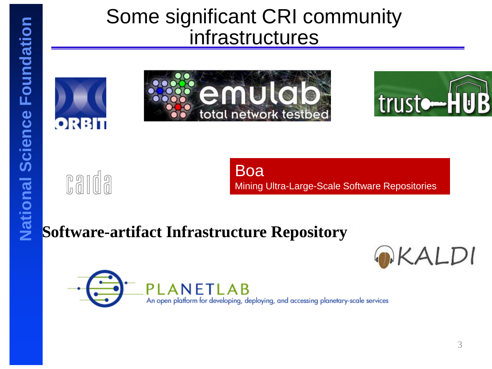## Some significant CRI community infrastructures







DKALDI

carda

Boa Mining Ultra-Large-Scale Software Repositories

### **Software-artifact Infrastructure Repository**

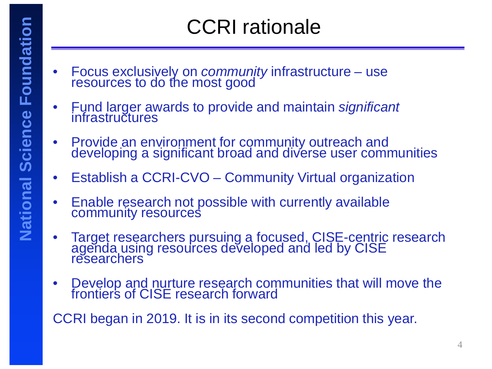## CCRI rationale

- Focus exclusively on *community* infrastructure use resources to do the most good
- Fund larger awards to provide and maintain *significant* infrastructures
- Provide an environment for community outreach and developing a significant broad and diverse user communities
- Establish a CCRI-CVO Community Virtual organization
- Enable research not possible with currently available community resources
- Target researchers pursuing a focused, CISE-centric research agenda using resources developed and led by CISE researchers
- Develop and nurture research communities that will move the frontier's of CISE research forward

CCRI began in 2019. It is in its second competition this year.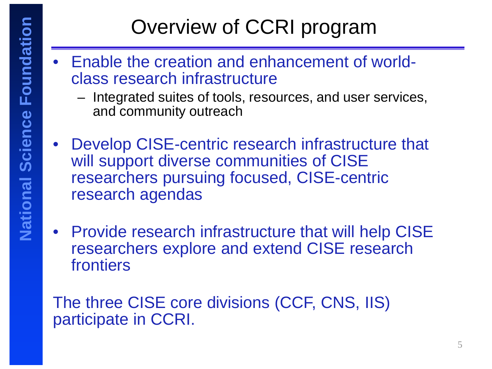# Overview of CCRI program

- Enable the creation and enhancement of worldclass research infrastructure
	- Integrated suites of tools, resources, and user services, and community outreach
- Develop CISE-centric research infrastructure that will support diverse communities of CISE researchers pursuing focused, CISE-centric research agendas
- Provide research infrastructure that will help CISE researchers explore and extend CISE research frontiers

The three CISE core divisions (CCF, CNS, IIS) participate in CCRI.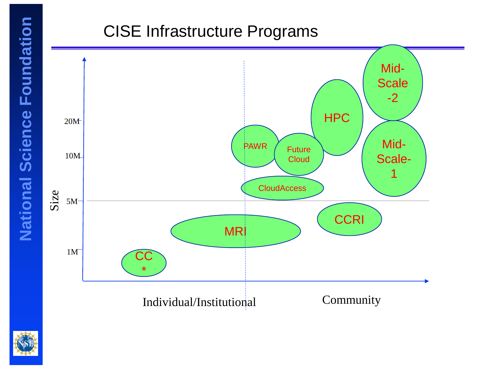#### CISE Infrastructure Programs



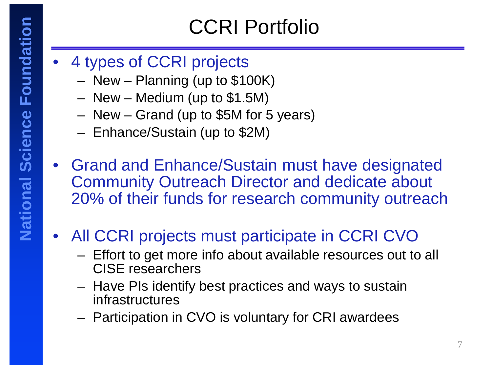## CCRI Portfolio

- 4 types of CCRI projects
	- New Planning (up to \$100K)
	- New Medium (up to \$1.5M)
	- New Grand (up to \$5M for 5 years)
	- Enhance/Sustain (up to \$2M)
- Grand and Enhance/Sustain must have designated Community Outreach Director and dedicate about 20% of their funds for research community outreach
- All CCRI projects must participate in CCRI CVO
	- Effort to get more info about available resources out to all CISE researchers
	- Have PIs identify best practices and ways to sustain infrastructures
	- Participation in CVO is voluntary for CRI awardees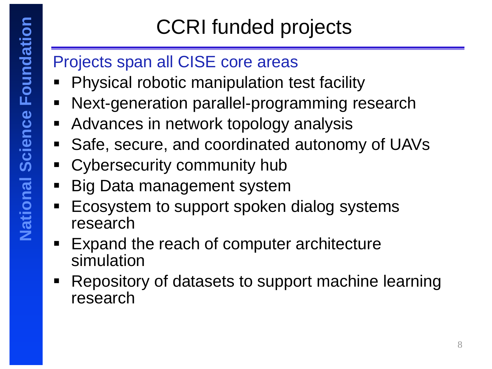# CCRI funded projects

### Projects span all CISE core areas

- Physical robotic manipulation test facility
- **Next-generation parallel-programming research**
- **Advances in network topology analysis**
- Safe, secure, and coordinated autonomy of UAVs
- Cybersecurity community hub
- **Big Data management system**
- Ecosystem to support spoken dialog systems research
- Expand the reach of computer architecture simulation
- **Repository of datasets to support machine learning** research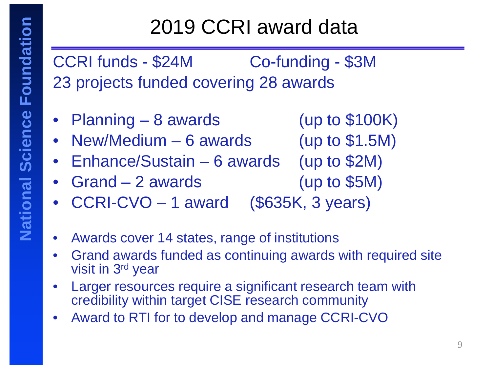## 2019 CCRI award data

CCRI funds - \$24M Co-funding - \$3M 23 projects funded covering 28 awards

- Planning 8 awards (up to \$100K)
- New/Medium 6 awards (up to \$1.5M)
- Enhance/Sustain 6 awards (up to \$2M)
- 
- Grand 2 awards (up to \$5M)
- CCRI-CVO 1 award (\$635K, 3 years)
- Awards cover 14 states, range of institutions
- Grand awards funded as continuing awards with required site visit in 3rd year
- Larger resources require a significant research team with credibility within target CISE research community
- Award to RTI for to develop and manage CCRI-CVO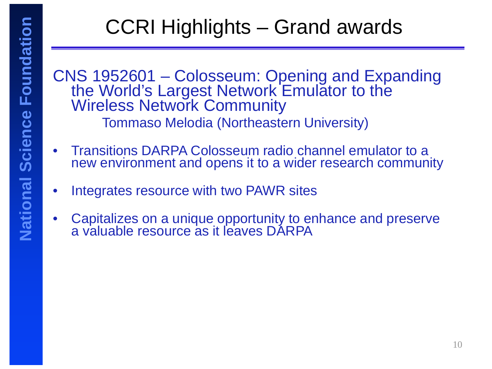# CCRI Highlights – Grand awards

CNS 1952601 – Colosseum: Opening and Expanding the World's Largest Network Emulator to the Wireless Network Community Tommaso Melodia (Northeastern University)

- Transitions DARPA Colosseum radio channel emulator to a new environment and opens it to a wider research community
- Integrates resource with two PAWR sites
- Capitalizes on a unique opportunity to enhance and preserve a valuable resource as it leaves DARPA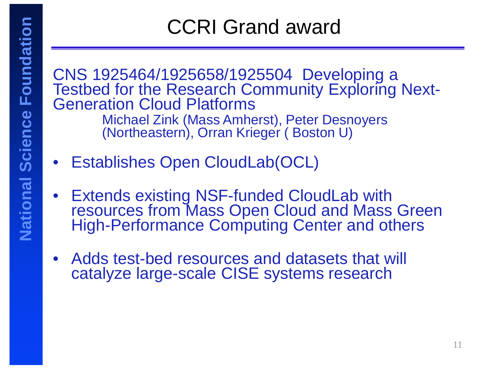## CCRI Grand award

CNS 1925464/1925658/1925504 Developing a Testbed for the Research Community Exploring Next- Generation Cloud Platforms Michael Zink (Mass Amherst), Peter Desnoyers (Northeastern), Orran Krieger ( Boston U)

- Establishes Open CloudLab(OCL)
- Extends existing NSF-funded CloudLab with resources from Mass Open Cloud and Mass Green High-Performance Computing Center and others
- Adds test-bed resources and datasets that will catalyze large-scale CISE systems research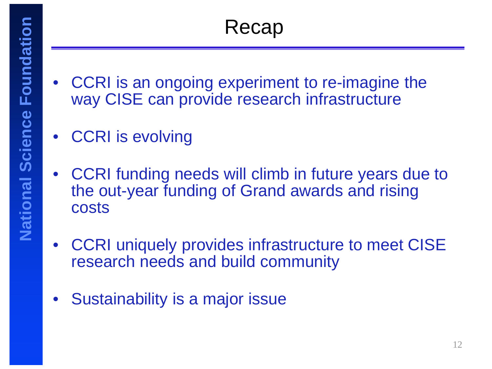- CCRI is an ongoing experiment to re-imagine the way CISE can provide research infrastructure
- CCRI is evolving
- CCRI funding needs will climb in future years due to the out-year funding of Grand awards and rising costs
- CCRI uniquely provides infrastructure to meet CISE research needs and build community
- Sustainability is a major issue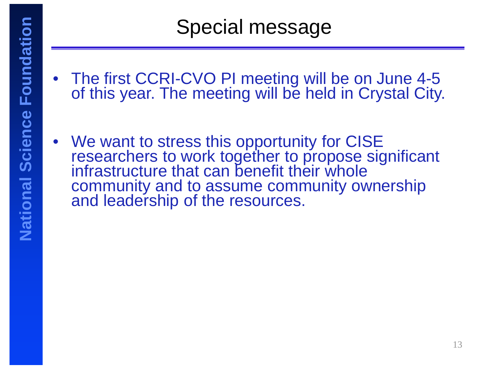- The first CCRI-CVO PI meeting will be on June 4-5 of this year. The meeting will be held in Crystal City.
- We want to stress this opportunity for CISE researchers to work together to propose significant infrastructure that can benefit their whole community and to assume community ownership and leadership of the resources.